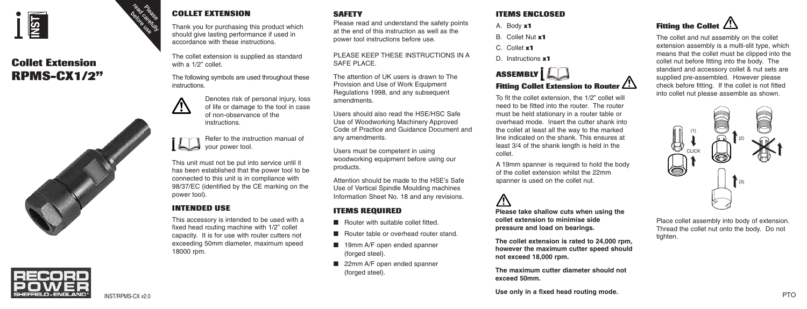

# **Collet Extension RPMS-CX1/2"**



#### **COLLET EXTENSION**

Thank you for purchasing this product which should give lasting performance if used in accordance with these instructions.

The collet extension is supplied as standard with a 1/2" collet.

The following symbols are used throughout these **instructions** 



Denotes risk of personal injury, loss of life or damage to the tool in case of non-observance of the instructions.

Refer to the instruction manual of your power tool.

This unit must not be put into service until it has been established that the power tool to be connected to this unit is in compliance with 98/37/EC (identified by the CE marking on the power tool).

### **INTENDED USE**

This accessory is intended to be used with a fixed head routing machine with 1/2" collet capacity. It is for use with router cutters not exceeding 50mm diameter, maximum speed 18000 rpm.

**SAFETY**

Please read and understand the safety points at the end of this instruction as well as the power tool instructions before use.

PLEASE KEEP THESE INSTRUCTIONS IN A SAFE PLACE.

The attention of UK users is drawn to The Provision and Use of Work Equipment Regulations 1998, and any subsequent amendments.

Users should also read the HSE/HSC Safe Use of Woodworking Machinery Approved Code of Practice and Guidance Document and any amendments.

Users must be competent in using woodworking equipment before using our products.

Attention should be made to the HSE's Safe Use of Vertical Spindle Moulding machines Information Sheet No. 18 and any revisions.

#### **ITEMS REQUIRED**

- Router with suitable collet fitted.
- Router table or overhead router stand.
- 19mm A/F open ended spanner (forged steel).
- 22mm A/F open ended spanner (forged steel).

#### **ITEMS ENCLOSED**

- A. Body **x1**
- B. Collet Nut **x1**
- C. Collet **x1**
- D. Instructions **x1**

## **ASSEMBLY Fitting Collet Extension to Router**

To fit the collet extension, the 1/2" collet will need to be fitted into the router. The router must be held stationary in a router table or overhead mode. Insert the cutter shank into the collet at least all the way to the marked line indicated on the shank. This ensures at least 3/4 of the shank length is held in the collet.

A 19mm spanner is required to hold the body of the collet extension whilst the 22mm spanner is used on the collet nut.

**Please take shallow cuts when using the collet extension to minimise side pressure and load on bearings.**

**The collet extension is rated to 24,000 rpm, however the maximum cutter speed should not exceed 18,000 rpm.**

**The maximum cutter diameter should not exceed 50mm.**



The collet and nut assembly on the collet extension assembly is a multi-slit type, which means that the collet must be clipped into the collet nut before fitting into the body. The standard and accessory collet & nut sets are supplied pre-assembled. However please check before fitting. If the collet is not fitted into collet nut please assemble as shown.



Place collet assembly into body of extension. Thread the collet nut onto the body. Do not tighten.